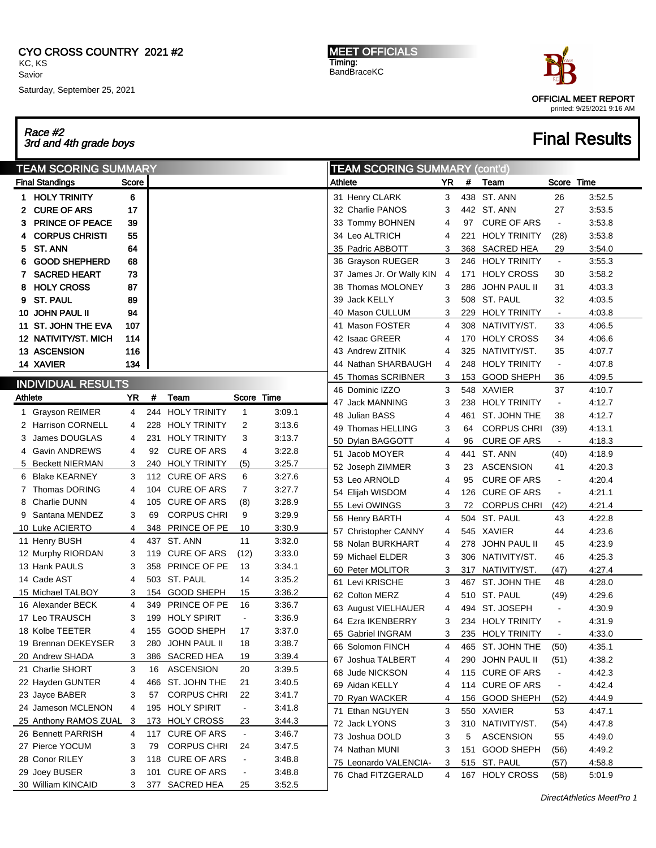### CYO CROSS COUNTRY 2021 #2 KC, KS Savior

Saturday, September 25, 2021

Race #2 3rd and 4th grade boys Final Results

MEET OFFICIALS Timing: BandBraceKC



| <b>TEAM SCORING SUMMARY</b> |                                 |           |     |                                    |                                  |                  |         | <b>TEAM SCORING SUMMARY (cont'd)</b>        |                |     |                                |                          |                  |  |
|-----------------------------|---------------------------------|-----------|-----|------------------------------------|----------------------------------|------------------|---------|---------------------------------------------|----------------|-----|--------------------------------|--------------------------|------------------|--|
|                             | <b>Final Standings</b>          | Score     |     |                                    |                                  |                  | Athlete |                                             | YR             | #   | Team                           | Score Time               |                  |  |
|                             | 1 HOLY TRINITY                  | 6         |     |                                    |                                  |                  |         | 31 Henry CLARK                              | 3              |     | 438 ST. ANN                    | 26                       | 3:52.5           |  |
| 2                           | <b>CURE OF ARS</b>              | 17        |     |                                    |                                  |                  |         | 32 Charlie PANOS                            | 3              |     | 442 ST. ANN                    | 27                       | 3:53.5           |  |
| з                           | <b>PRINCE OF PEACE</b>          | 39        |     |                                    |                                  |                  |         | 33 Tommy BOHNEN                             | 4              | 97  | <b>CURE OF ARS</b>             | $\blacksquare$           | 3:53.8           |  |
|                             | <b>CORPUS CHRISTI</b>           | 55        |     |                                    |                                  |                  |         | 34  Leo ALTRICH                             | 4              | 221 | <b>HOLY TRINITY</b>            | (28)                     | 3:53.8           |  |
| 5                           | ST. ANN                         | 64        |     |                                    |                                  |                  |         | 35 Padric ABBOTT                            | 3              | 368 | SACRED HEA                     | 29                       | 3:54.0           |  |
| 6                           | <b>GOOD SHEPHERD</b>            | 68        |     |                                    |                                  |                  |         | 36 Grayson RUEGER                           | 3              |     | 246 HOLY TRINITY               | $\blacksquare$           | 3:55.3           |  |
| 7                           | <b>SACRED HEART</b>             | 73        |     |                                    |                                  |                  |         | 37 James Jr. Or Wally KIN                   | 4              | 171 | <b>HOLY CROSS</b>              | 30                       | 3:58.2           |  |
| 8                           | <b>HOLY CROSS</b>               | 87        |     |                                    |                                  |                  | 38      | Thomas MOLONEY                              | 3              | 286 | JOHN PAUL II                   | 31                       | 4:03.3           |  |
| 9                           | <b>ST. PAUL</b>                 | 89        |     |                                    |                                  |                  |         | 39 Jack KELLY                               | 3              |     | 508 ST. PAUL                   | 32                       | 4:03.5           |  |
| 10                          | <b>JOHN PAUL II</b>             | 94        |     |                                    |                                  |                  |         | 40 Mason CULLUM                             | 3              |     | 229 HOLY TRINITY               | $\blacksquare$           | 4:03.8           |  |
| 11.                         | <b>ST. JOHN THE EVA</b>         | 107       |     |                                    |                                  |                  |         | 41 Mason FOSTER                             | $\overline{4}$ |     | 308 NATIVITY/ST.               | 33                       | 4:06.5           |  |
|                             | 12 NATIVITY/ST. MICH            | 114       |     |                                    |                                  |                  |         | 42 Isaac GREER                              | 4              | 170 | <b>HOLY CROSS</b>              | 34                       | 4:06.6           |  |
|                             | <b>13 ASCENSION</b>             | 116       |     |                                    |                                  |                  |         | 43 Andrew ZITNIK                            | 4              | 325 | NATIVITY/ST.                   | 35                       | 4:07.7           |  |
|                             | <b>14 XAVIER</b>                | 134       |     |                                    |                                  |                  |         | 44 Nathan SHARBAUGH                         | 4              |     | 248 HOLY TRINITY               | $\blacksquare$           | 4:07.8           |  |
|                             |                                 |           |     |                                    |                                  |                  |         | 45 Thomas SCRIBNER                          | 3              | 153 | <b>GOOD SHEPH</b>              | 36                       | 4:09.5           |  |
|                             | <b>INDIVIDUAL RESULTS</b>       |           |     |                                    |                                  |                  |         | 46 Dominic IZZO                             | 3              |     | 548 XAVIER                     | 37                       | 4:10.7           |  |
| Athlete                     |                                 | <b>YR</b> | #   | Team                               | Score Time                       |                  |         | 47 Jack MANNING                             | 3              | 238 | <b>HOLY TRINITY</b>            | $\blacksquare$           | 4:12.7           |  |
|                             | 1 Grayson REIMER                | 4         | 244 | <b>HOLY TRINITY</b>                | 1                                | 3:09.1           |         | 48 Julian BASS                              | 4              | 461 | ST. JOHN THE                   | 38                       | 4:12.7           |  |
|                             | 2 Harrison CORNELL              | 4         | 228 | <b>HOLY TRINITY</b>                | 2                                | 3:13.6           | 49      | Thomas HELLING                              | 3              | 64  | <b>CORPUS CHRI</b>             | (39)                     | 4:13.1           |  |
|                             | James DOUGLAS                   | 4         | 231 | <b>HOLY TRINITY</b>                | 3                                | 3:13.7           |         | 50 Dylan BAGGOTT                            | 4              | 96  | <b>CURE OF ARS</b>             | $\sim$                   | 4:18.3           |  |
| 4                           | Gavin ANDREWS                   | 4         | 92  | <b>CURE OF ARS</b>                 | 4                                | 3:22.8           |         | 51 Jacob MOYER                              | 4              | 441 | ST. ANN                        | (40)                     | 4:18.9           |  |
|                             | 5 Beckett NIERMAN               | 3         |     | 240 HOLY TRINITY                   | (5)                              | 3:25.7           |         | 52 Joseph ZIMMER                            | 3              | 23  | <b>ASCENSION</b>               | 41                       | 4.20.3           |  |
| 6                           | Blake KEARNEY                   | 3         |     | 112 CURE OF ARS                    | 6                                | 3:27.6           |         | 53 Leo ARNOLD                               | 4              | 95  | <b>CURE OF ARS</b>             | $\blacksquare$           | 4.20.4           |  |
| 7                           | <b>Thomas DORING</b>            | 4         | 104 | <b>CURE OF ARS</b>                 | 7                                | 3:27.7           |         | 54 Elijah WISDOM                            | 4              | 126 | <b>CURE OF ARS</b>             | $\blacksquare$           | 4:21.1           |  |
| 8                           | <b>Charlie DUNN</b>             | 4         | 105 | <b>CURE OF ARS</b>                 | (8)                              | 3:28.9           |         | 55 Levi OWINGS                              | 3              | 72  | <b>CORPUS CHRI</b>             |                          | 4:21.4           |  |
| 9                           | Santana MENDEZ                  | 3         | 69  | <b>CORPUS CHRI</b>                 | 9                                | 3:29.9           |         |                                             | 4              |     | 504 ST. PAUL                   | (42)<br>43               | 4:22.8           |  |
|                             | 10 Luke ACIERTO                 | 4         |     | 348 PRINCE OF PE                   | 10                               | 3:30.9           |         | 56 Henry BARTH                              | 4              |     | 545 XAVIER                     | 44                       | 4.23.6           |  |
|                             | 11 Henry BUSH                   | 4         | 437 | ST. ANN                            | 11                               | 3:32.0           |         | 57 Christopher CANNY<br>58 Nolan BURKHART   | 4              | 278 | <b>JOHN PAUL II</b>            | 45                       | 4.23.9           |  |
|                             | 12 Murphy RIORDAN               | 3         | 119 | <b>CURE OF ARS</b>                 | (12)                             | 3:33.0           |         | 59 Michael ELDER                            | 3              |     | 306 NATIVITY/ST.               |                          | 4.25.3           |  |
|                             | 13 Hank PAULS                   | 3         | 358 | PRINCE OF PE                       | 13                               | 3:34.1           |         |                                             |                |     |                                | 46                       |                  |  |
|                             | 14 Cade AST                     | 4         |     | 503 ST. PAUL                       | 14                               | 3:35.2           |         | 60 Peter MOLITOR                            | 3              | 317 | NATIVITY/ST.<br>ST. JOHN THE   | (47)                     | 4:27.4           |  |
|                             | 15 Michael TALBOY               | 3         | 154 | GOOD SHEPH                         | 15                               | 3:36.2           |         | 61 Levi KRISCHE                             | 3              | 467 |                                | 48                       | 4:28.0           |  |
|                             | 16 Alexander BECK               | 4         | 349 | PRINCE OF PE                       | 16                               | 3:36.7           |         | 62 Colton MERZ                              | 4              |     | 510 ST. PAUL                   | (49)<br>$\blacksquare$   | 4.29.6           |  |
|                             | 17 Leo TRAUSCH                  | 3         | 199 | <b>HOLY SPIRIT</b>                 | $\blacksquare$                   | 3:36.9           |         | 63 August VIELHAUER                         | 4<br>3         | 494 | ST. JOSEPH                     |                          | 4:30.9           |  |
|                             | 18 Kolbe TEETER                 | 4         | 155 | <b>GOOD SHEPH</b>                  | 17                               | 3:37.0           |         | 64 Ezra IKENBERRY                           |                | 234 | <b>HOLY TRINITY</b>            | $\blacksquare$           | 4:31.9           |  |
|                             | 19 Brennan DEKEYSER             | 3         | 280 | JOHN PAUL II                       | 18                               | 3:38.7           |         | 65 Gabriel INGRAM                           | 3              |     | 235 HOLY TRINITY               |                          | 4.33.0           |  |
|                             | 20 Andrew SHADA                 | 3         |     | 386 SACRED HEA                     | 19                               | 3:39.4           |         | 66 Solomon FINCH                            | 4              |     | 465 ST. JOHN THE               | (50)                     | 4:35.1           |  |
|                             | 21 Charlie SHORT                | 3         | 16  | <b>ASCENSION</b>                   | 20                               | 3:39.5           |         | 67 Joshua TALBERT                           | 4              |     | 290 JOHN PAUL II               | (51)                     | 4:38.2           |  |
|                             | 22 Hayden GUNTER                | 4         |     | 466 ST. JOHN THE                   | 21                               | 3:40.5           |         | 68 Jude NICKSON                             | 4              |     | 115 CURE OF ARS                | $\blacksquare$           | 4:42.3           |  |
|                             | 23 Jayce BABER                  | 3         | 57  | <b>CORPUS CHRI</b>                 | 22                               | 3:41.7           |         | 69 Aidan KELLY                              | 4              |     | 114 CURE OF ARS                | $\overline{\phantom{a}}$ | 4:42.4           |  |
|                             | 24 Jameson MCLENON              | 4         |     | 195 HOLY SPIRIT                    | $\blacksquare$                   | 3:41.8           |         | 70 Ryan WACKER                              | 4              |     | 156 GOOD SHEPH                 | (52)                     | 4:44.9           |  |
|                             | 25 Anthony RAMOS ZUAL           | 3         |     | 173 HOLY CROSS                     | 23                               | 3:44.3           |         | 71 Ethan NGUYEN                             | 3              |     | 550 XAVIER                     | 53                       | 4:47.1           |  |
|                             | 26 Bennett PARRISH              | 4         |     | 117 CURE OF ARS                    | $\blacksquare$                   | 3:46.7           |         | 72 Jack LYONS                               | 3              |     | 310 NATIVITY/ST.               | (54)                     | 4:47.8           |  |
|                             | 27 Pierce YOCUM                 | 3         | 79  | <b>CORPUS CHRI</b>                 | 24                               | 3:47.5           |         | 73 Joshua DOLD                              | 3              | 5   | <b>ASCENSION</b>               | 55                       | 4:49.0           |  |
|                             |                                 |           |     |                                    |                                  |                  |         | 74 Nathan MUNI                              | 3              | 151 | <b>GOOD SHEPH</b>              | (56)                     | 4:49.2           |  |
|                             |                                 |           |     |                                    |                                  |                  |         |                                             |                |     |                                |                          |                  |  |
|                             | 28 Conor RILEY<br>29 Joey BUSER | 3<br>3    |     | 118 CURE OF ARS<br>101 CURE OF ARS | $\blacksquare$<br>$\blacksquare$ | 3:48.8<br>3:48.8 |         | 75 Leonardo VALENCIA-<br>76 Chad FITZGERALD | 3<br>4         |     | 515 ST. PAUL<br>167 HOLY CROSS | (57)<br>(58)             | 4:58.8<br>5:01.9 |  |